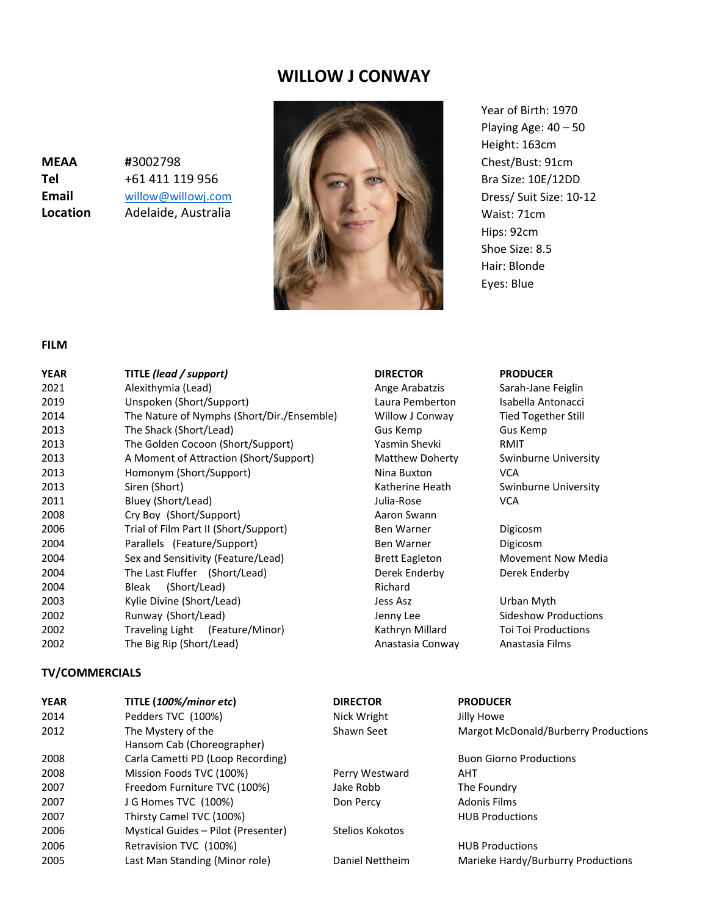# **WILLOW J CONWAY**

**MEAA #**3002798 **Tel** +61 411 119 956 **Email** [willow@willowj.com](mailto:willow@willowj.com) **Location** Adelaide, Australia



Year of Birth: 1970 Playing Age: 40 – 50 Height: 163cm Chest/Bust: 91cm Bra Size: 10E/12DD Dress/ Suit Size: 10-12 Waist: 71cm Hips: 92cm Shoe Size: 8.5 Hair: Blonde Eyes: Blue

### **FILM**

| <b>YEAR</b> | TITLE (lead / support)                     | <b>DIRECTOR</b>       | <b>PRODUCER</b> |  |
|-------------|--------------------------------------------|-----------------------|-----------------|--|
| 2021        | Alexithymia (Lead)                         | Ange Arabatzis        | Sarah-Jane F    |  |
| 2019        | Unspoken (Short/Support)                   | Laura Pemberton       | Isabella Anto   |  |
| 2014        | The Nature of Nymphs (Short/Dir./Ensemble) | Willow J Conway       | Tied Togethe    |  |
| 2013        | The Shack (Short/Lead)                     | Gus Kemp              | Gus Kemp        |  |
| 2013        | The Golden Cocoon (Short/Support)          | Yasmin Shevki         | RMIT            |  |
| 2013        | A Moment of Attraction (Short/Support)     | Matthew Doherty       | Swinburne U     |  |
| 2013        | Homonym (Short/Support)                    | Nina Buxton           | <b>VCA</b>      |  |
| 2013        | Siren (Short)                              | Katherine Heath       | Swinburne U     |  |
| 2011        | Bluey (Short/Lead)                         | Julia-Rose            | <b>VCA</b>      |  |
| 2008        | Cry Boy (Short/Support)                    | Aaron Swann           |                 |  |
| 2006        | Trial of Film Part II (Short/Support)      | Ben Warner            | Digicosm        |  |
| 2004        | Parallels (Feature/Support)                | <b>Ben Warner</b>     | Digicosm        |  |
| 2004        | Sex and Sensitivity (Feature/Lead)         | <b>Brett Eagleton</b> | Movement N      |  |
| 2004        | The Last Fluffer (Short/Lead)              | Derek Enderby         | Derek Ender     |  |
| 2004        | (Short/Lead)<br>Bleak                      | Richard               |                 |  |
| 2003        | Kylie Divine (Short/Lead)                  | Jess Asz              | Urban Myth      |  |
| 2002        | Runway (Short/Lead)                        | Jenny Lee             | Sideshow Pro    |  |
| 2002        | Traveling Light (Feature/Minor)            | Kathryn Millard       | Toi Toi Produ   |  |
| 2002        | The Big Rip (Short/Lead)                   | Anastasia Conway      | Anastasia Fil   |  |

### **TV/COMMERCIALS**

**YEAR TITLE (***100%/minor etc***) DIRECTOR PRODUCER** 2014 **Pedders TVC (100%)** Nick Wright Jilly Howe 2012 The Mystery of the Shawn Seet Margot McDonald/Burberry Productions Hansom Cab (Choreographer) 2008 Carla Cametti PD (Loop Recording) **Buon Giorno Productions** Buon Giorno Productions 2008 Mission Foods TVC (100%) Perry Westward AHT 2007 **Freedom Furniture TVC (100%)** Jake Robb The Foundry 2007 J G Homes TVC (100%) Don Percy Adonis Films 2007 Thirsty Camel TVC (100%) **HUB Productions HUB Productions** 2006 Mystical Guides – Pilot (Presenter) Stelios Kokotos 2006 Retravision TVC (100%) **Retravision TVC (100%)** Retravision SND Retravision TVC (100%) 2005 Last Man Standing (Minor role) Daniel Nettheim Marieke Hardy/Burburry Productions

Laura Pemberton Isabella Antonacci Willow J Conway Tied Together Still Yasmin Shevki RMIT Nina Buxton VCA Aaron Swann Derek Enderby Derek Enderby Anastasia Conway Anastasia Films

Ange Arabatzis Sarah-Jane Feiglin Matthew Doherty Swinburne University Katherine Heath Swinburne University

Brett Eagleton Movement Now Media

Jenny Lee Sideshow Productions Kathryn Millard Toi Toi Productions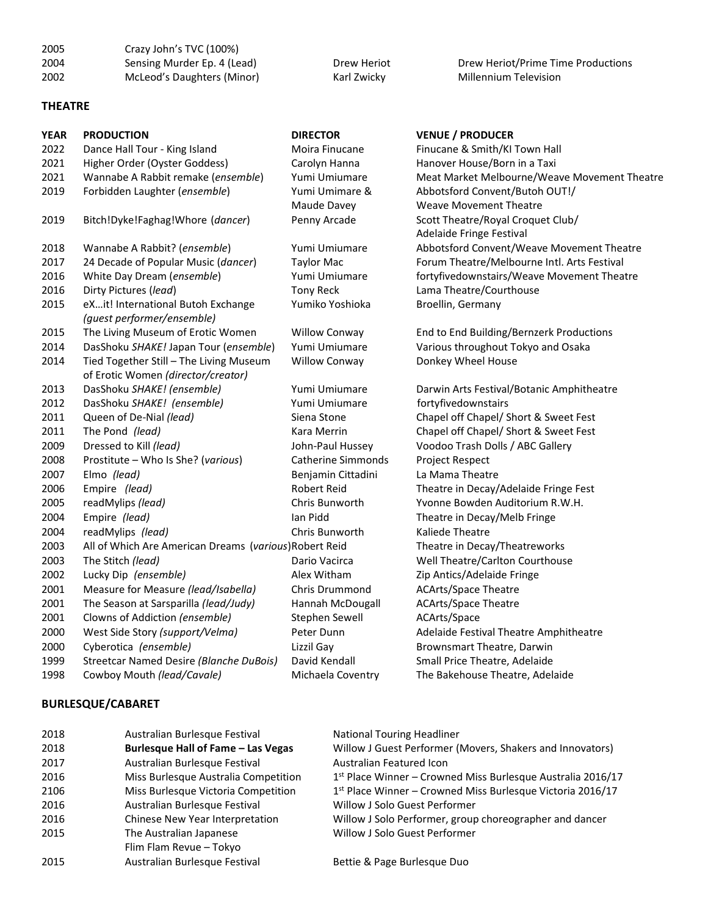| 2005<br>2004<br>2002 | Crazy John's TVC (100%)<br>Sensing Murder Ep. 4 (Lead)<br>McLeod's Daughters (Minor) | Drew Heriot<br>Karl Zwicky | Drew Heriot/Prime Time Productions<br>Millennium Television |
|----------------------|--------------------------------------------------------------------------------------|----------------------------|-------------------------------------------------------------|
| <b>THEATRE</b>       |                                                                                      |                            |                                                             |
| <b>YEAR</b>          | <b>PRODUCTION</b>                                                                    | <b>DIRECTOR</b>            | <b>VENUE / PRODUCER</b>                                     |
| 2022                 | Dance Hall Tour - King Island                                                        | Moira Finucane             | Finucane & Smith/KI Town Hall                               |
| 2021                 | Higher Order (Oyster Goddess)                                                        | Carolyn Hanna              | Hanover House/Born in a Taxi                                |
| 2021                 | Wannabe A Rabbit remake (ensemble)                                                   | Yumi Umiumare              | Meat Market Melbourne/Weave Movement Theatre                |
| 2019                 | Forbidden Laughter (ensemble)                                                        | Yumi Umimare &             | Abbotsford Convent/Butoh OUT!/                              |
|                      |                                                                                      | Maude Davey                | <b>Weave Movement Theatre</b>                               |
| 2019                 | Bitch!Dyke!Faghag!Whore (dancer)                                                     | Penny Arcade               | Scott Theatre/Royal Croquet Club/                           |
|                      |                                                                                      |                            | Adelaide Fringe Festival                                    |
| 2018                 | Wannabe A Rabbit? (ensemble)                                                         | Yumi Umiumare              | Abbotsford Convent/Weave Movement Theatre                   |
| 2017                 | 24 Decade of Popular Music (dancer)                                                  | <b>Taylor Mac</b>          | Forum Theatre/Melbourne Intl. Arts Festival                 |
| 2016                 | White Day Dream (ensemble)                                                           | Yumi Umiumare              | fortyfivedownstairs/Weave Movement Theatre                  |
| 2016                 | Dirty Pictures (lead)                                                                | Tony Reck                  | Lama Theatre/Courthouse                                     |
| 2015                 | eXit! International Butoh Exchange<br>(guest performer/ensemble)                     | Yumiko Yoshioka            | Broellin, Germany                                           |
| 2015                 | The Living Museum of Erotic Women                                                    | <b>Willow Conway</b>       | End to End Building/Bernzerk Productions                    |

of Erotic Women *(director/creator)*

2014 DasShoku *SHAKE!* Japan Tour (*ensemble*) Yumi Umiumare Various throughout Tokyo and Osaka 2014 Tied Together Still – The Living Museum Willow Conway Donkey Wheel House

2013 DasShoku *SHAKE! (ensemble)* Yumi Umiumare Darwin Arts Festival/Botanic Amphitheatre 2012 DasShoku *SHAKE! (ensemble)* Yumi Umiumare fortyfivedownstairs 2011 Queen of De-Nial *(lead)* Siena Stone Chapel off Chapel/ Short & Sweet Fest 2011 The Pond *(lead)* Kara Merrin Chapel off Chapel/ Short & Sweet Fest 2009 Dressed to Kill *(lead)* John-Paul Hussey Voodoo Trash Dolls / ABC Gallery 2008 Prostitute – Who Is She? (*various*) Catherine Simmonds Project Respect 2007 Elmo *(lead)* Benjamin Cittadini La Mama Theatre 2006 Empire *(lead)* Robert Reid Theatre in Decay/Adelaide Fringe Fest 2005 readMylips *(lead)* Chris Bunworth Yvonne Bowden Auditorium R.W.H. 2004 Empire *(lead)* Ian Pidd Theatre in Decay/Melb Fringe 2004 readMylips *(lead)* Chris Bunworth Kaliede Theatre 2003 All of Which Are American Dreams (*various*)Robert Reid Theatre in Decay/Theatreworks 2003 The Stitch *(lead)* Dario Vacirca Well Theatre/Carlton Courthouse 2002 Lucky Dip *(ensemble)* Alex Witham Zip Antics/Adelaide Fringe 2001 Measure for Measure *(lead/Isabella)* Chris Drummond ACArts/Space Theatre

| 2001 | The Season at Sarsparilla (lead/Judy)     |               | Hannah McDougall                  | <b>ACArts/Space Theatre</b>                                   |
|------|-------------------------------------------|---------------|-----------------------------------|---------------------------------------------------------------|
| 2001 | Clowns of Addiction (ensemble)            |               | Stephen Sewell                    | ACArts/Space                                                  |
| 2000 | West Side Story (support/Velma)           | Peter Dunn    |                                   | Adelaide Festival Theatre Amphitheatre                        |
| 2000 | Cyberotica (ensemble)                     | Lizzil Gay    |                                   | Brownsmart Theatre, Darwin                                    |
| 1999 | Streetcar Named Desire (Blanche DuBois)   | David Kendall |                                   | Small Price Theatre, Adelaide                                 |
| 1998 | Cowboy Mouth (lead/Cavale)                |               | Michaela Coventry                 | The Bakehouse Theatre, Adelaide                               |
|      | <b>BURLESQUE/CABARET</b>                  |               |                                   |                                                               |
| 2018 | Australian Burlesque Festival             |               | <b>National Touring Headliner</b> |                                                               |
| 2018 | <b>Burlesque Hall of Fame - Las Vegas</b> |               |                                   | Willow J Guest Performer (Movers, Shakers and Innovators)     |
| 2017 | Australian Burlesque Festival             |               | Australian Featured Icon          |                                                               |
| 2016 | Miss Burlesque Australia Competition      |               |                                   | $1st$ Place Winner – Crowned Miss Burlesque Australia 2016/17 |
| 2106 | Miss Burlesque Victoria Competition       |               |                                   | 1st Place Winner – Crowned Miss Burlesque Victoria 2016/17    |
| 2016 | Australian Burlesque Festival             |               |                                   | Willow J Solo Guest Performer                                 |
| 2016 | Chinese New Year Interpretation           |               |                                   | Willow J Solo Performer, group choreographer and dancer       |
| 2015 | The Australian Japanese                   |               |                                   | Willow J Solo Guest Performer                                 |
|      | Flim Flam Revue - Tokyo                   |               |                                   |                                                               |
| 2015 | Australian Burlesque Festival             |               |                                   | Bettie & Page Burlesque Duo                                   |
|      |                                           |               |                                   |                                                               |